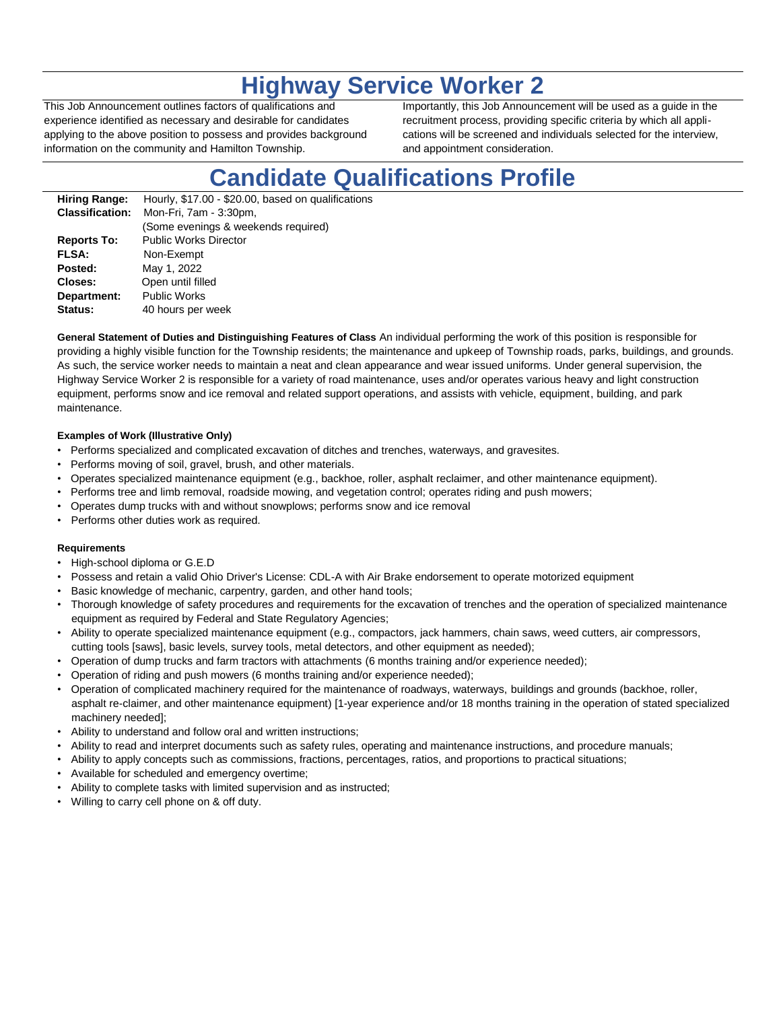## **Highway Service Worker 2**

This Job Announcement outlines factors of qualifications and experience identified as necessary and desirable for candidates applying to the above position to possess and provides background information on the community and Hamilton Township.

Importantly, this Job Announcement will be used as a guide in the recruitment process, providing specific criteria by which all applications will be screened and individuals selected for the interview, and appointment consideration.

# **Candidate Qualifications Profile**

| <b>Hiring Range:</b>   | Hourly, \$17.00 - \$20.00, based on qualifications |
|------------------------|----------------------------------------------------|
| <b>Classification:</b> | Mon-Fri, 7am - 3:30pm,                             |
|                        | (Some evenings & weekends required)                |
| <b>Reports To:</b>     | <b>Public Works Director</b>                       |
| <b>FLSA:</b>           | Non-Exempt                                         |
| Posted:                | May 1, 2022                                        |
| Closes:                | Open until filled                                  |
| Department:            | <b>Public Works</b>                                |
| Status:                | 40 hours per week                                  |
|                        |                                                    |

**General Statement of Duties and Distinguishing Features of Class** An individual performing the work of this position is responsible for providing a highly visible function for the Township residents; the maintenance and upkeep of Township roads, parks, buildings, and grounds. As such, the service worker needs to maintain a neat and clean appearance and wear issued uniforms. Under general supervision, the Highway Service Worker 2 is responsible for a variety of road maintenance, uses and/or operates various heavy and light construction equipment, performs snow and ice removal and related support operations, and assists with vehicle, equipment, building, and park maintenance.

#### **Examples of Work (Illustrative Only)**

- Performs specialized and complicated excavation of ditches and trenches, waterways, and gravesites.
- Performs moving of soil, gravel, brush, and other materials.
- Operates specialized maintenance equipment (e.g., backhoe, roller, asphalt reclaimer, and other maintenance equipment).
- Performs tree and limb removal, roadside mowing, and vegetation control; operates riding and push mowers;
- Operates dump trucks with and without snowplows; performs snow and ice removal
- Performs other duties work as required.

#### **Requirements**

- High-school diploma or G.E.D
- Possess and retain a valid Ohio Driver's License: CDL-A with Air Brake endorsement to operate motorized equipment
- Basic knowledge of mechanic, carpentry, garden, and other hand tools;
- Thorough knowledge of safety procedures and requirements for the excavation of trenches and the operation of specialized maintenance equipment as required by Federal and State Regulatory Agencies;
- Ability to operate specialized maintenance equipment (e.g., compactors, jack hammers, chain saws, weed cutters, air compressors, cutting tools [saws], basic levels, survey tools, metal detectors, and other equipment as needed);
- Operation of dump trucks and farm tractors with attachments (6 months training and/or experience needed);
- Operation of riding and push mowers (6 months training and/or experience needed);
- Operation of complicated machinery required for the maintenance of roadways, waterways, buildings and grounds (backhoe, roller, asphalt re-claimer, and other maintenance equipment) [1-year experience and/or 18 months training in the operation of stated specialized machinery needed];
- Ability to understand and follow oral and written instructions;
- Ability to read and interpret documents such as safety rules, operating and maintenance instructions, and procedure manuals;
- Ability to apply concepts such as commissions, fractions, percentages, ratios, and proportions to practical situations;
- Available for scheduled and emergency overtime;
- Ability to complete tasks with limited supervision and as instructed;
- Willing to carry cell phone on & off duty.